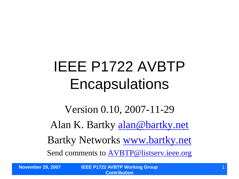## IEEE P1722 AVBTP **Encapsulations**

Version 0.10, 2007-11-29 Alan K. Bartky [alan@bartky.net](mailto:alan@bartky.net) Bartky Networks [www.bartky.net](http://www.bartky.net/) Send comments to [AVBTP@listserv.ieee.org](mailto:AVBTP@listserv.ieee.org)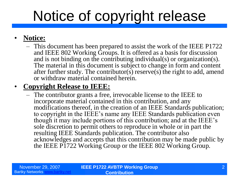# Notice of copyright release

#### • **Notice:**

– This document has been prepared to assist the work of the IEEE P1722 and IEEE 802 Working Groups. It is offered as a basis for discussion and is not binding on the contributing individual(s) or organization(s). The material in this document is subject to change in form and content after further study. The contributor(s) reserve(s) the right to add, amend or withdraw material contained herein.

#### • **Copyright Release to IEEE:**

– The contributor grants a free, irrevocable license to the IEEE to incorporate material contained in this contribution, and any modifications thereof, in the creation of an IEEE Standards publication; to copyright in the IEEE's name any IEEE Standards publication even though it may include portions of this contribution; and at the IEEE's sole discretion to permit others to reproduce in whole or in part the resulting IEEE Standards publication. The contributor also acknowledges and accepts that this contribution may be made public by the IEEE P1722 Working Group or the IEEE 802 Working Group.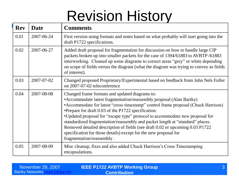## Revision History

| <b>Rev</b> | <b>Date</b> | <b>Comments</b>                                                                                                                                                                                                                                                                                                                                                                                                                                                                                                                                                                                                        |
|------------|-------------|------------------------------------------------------------------------------------------------------------------------------------------------------------------------------------------------------------------------------------------------------------------------------------------------------------------------------------------------------------------------------------------------------------------------------------------------------------------------------------------------------------------------------------------------------------------------------------------------------------------------|
| 0.01       | 2007-06-24  | First version using formats and notes based on what probably will start going into the<br>draft P1722 specifications.                                                                                                                                                                                                                                                                                                                                                                                                                                                                                                  |
| 0.02       | 2007-06-27  | Added draft proposal for fragmentation for discussion on how to handle large CIP<br>packets broken up into smaller packets for the case of 1394/61883 to AVBTP/61883<br>interworking. Cleaned up some diagrams to correct areas "grey" or white depending<br>on scope of fields versus the diagram (what the diagram was trying to convey as fields<br>of interest).                                                                                                                                                                                                                                                   |
| 0.03       | 2007-07-02  | Changed proposed Proprietary/Experimental based on feedback from John Nels Fuller<br>on 2007-07-02 teleconference                                                                                                                                                                                                                                                                                                                                                                                                                                                                                                      |
| 0.04       | 2007-08-08  | Changed frame formats and updated diagrams to:<br>• Accommodate latest fragmentation/reassembly proposal (Alan Bartky)<br>• Accommodate for latest "cross timestamp" control frame proposal (Chuck Harrison)<br>•Prepare for draft 0.03 of the P1722 specification.<br>•Updated proposal for "escape type" protocol to accommodate new proposal for<br>standardized fragmentation/reassembly and packet length at "standard" places.<br>Removed detailed description of fields (see draft 0.02 or upcoming 0.03 P1722<br>specification for those details) except for the new proposal for<br>fragmentation/reassembly. |
| 0.05       | 2007-08-09  | Misc cleanup, fixes and also added Chuck Harrison's Cross Timestamping<br>encapsulations.                                                                                                                                                                                                                                                                                                                                                                                                                                                                                                                              |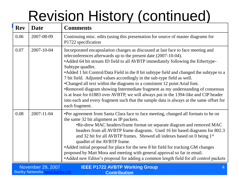# Revision History (continued)

| <b>Rev</b> | <b>Date</b>      | <b>Comments</b>                                                                                                                                                                                                                                                                                                                                                                                                                                                                                                                                                                                                                                                                                                                                                                                          |
|------------|------------------|----------------------------------------------------------------------------------------------------------------------------------------------------------------------------------------------------------------------------------------------------------------------------------------------------------------------------------------------------------------------------------------------------------------------------------------------------------------------------------------------------------------------------------------------------------------------------------------------------------------------------------------------------------------------------------------------------------------------------------------------------------------------------------------------------------|
| 0.06       | 2007-08-09       | Continuing misc. edits (using this presentation for source of master diagrams for<br>P1722 specification                                                                                                                                                                                                                                                                                                                                                                                                                                                                                                                                                                                                                                                                                                 |
| 0.07       | 2007-10-04       | Incorporated encapsulation changes as discussed at last face to face meeting and<br>teleconferences afterwards up to the present date (2007-10-04).<br>• Added 64 bit stream ID field to all AVBTP immediately following the Ethertype-<br>Subtype quadlet.<br>• Added 1 bit Control/Data Field in the 8 bit subtype field and changed the subtype to a<br>7 bit field. Adjusted values accordingly in the sub-type field as well.<br>•Changed all text within the diagrams to a consistent 12 point Arial font.<br>•Removed diagram showing Intermediate fragment as my understanding of consensus<br>is at least for 61883 over AVBTP, we will always put in the 1394-like and CIP header<br>into each and every fragment such that the sample data is always at the same offset for<br>each fragment. |
| 0.08       | $2007 - 11 - 04$ | •Per agreement from Santa Clara face to face meeting, changed all formats to be on<br>the same 32 bit alignment as IP packets.<br>•Re-drew MAC headers/frame format on separate diagram and removed MAC<br>headers from all AVBTP frame diagrams. Used 16 bit based diagrams for 802.3<br>and 32 bit for all AVBTP frames. Showed all indexes based on 0 being 1st<br>quadlet of the AVBTP frame.<br>• Added initial proposal for place for the new 8 bit field for tracking GM changes<br>proposed by Matt Mora and meeting with general approval so far in email.<br>• Added new Editor's proposal for adding a common length field for all control packets                                                                                                                                            |

| November 29, 2007      | <b>IEEE P1722 AVBTP Working Group</b> |
|------------------------|---------------------------------------|
| <b>Bartky Networks</b> | <b>Contribution</b>                   |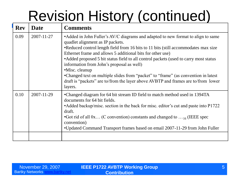# Revision History (continued)

| 2007-11-27 | • Added in John Fuller's AV/C diagrams and adapted to new format to align to same                                                                                                                                                                                                                                                                                                                                                                                                                                                  |
|------------|------------------------------------------------------------------------------------------------------------------------------------------------------------------------------------------------------------------------------------------------------------------------------------------------------------------------------------------------------------------------------------------------------------------------------------------------------------------------------------------------------------------------------------|
|            | quadlet alignment as IP packets.<br>•Reduced control length field from 16 bits to 11 bits (still accommodates max size<br>Ethernet frame and allows 5 additional bits for other use)<br>• Added proposed 5 bit status field to all control packets (used to carry most status<br>information from John's proposal as well)<br>•Misc. cleanup<br>•Changed text on multiple slides from "packet" to "frame" (as convention in latest<br>draft is "packets" are to/from the layer above AVBTP and frames are to/from lower<br>layers. |
| 2007-11-29 | •Changed diagram for 64 bit stream ID field to match method used in 1394TA<br>documents for 64 bit fields.<br>• Added backup/misc. section in the back for misc. editor's cut and paste into P1722<br>draft.<br>•Got rid of all $0x$ (C convention) constants and changed to $\dots$ 16 (IEEE spec<br>convention)<br>•Updated Command Transport frames based on email 2007-11-29 from John Fuller                                                                                                                                  |
|            |                                                                                                                                                                                                                                                                                                                                                                                                                                                                                                                                    |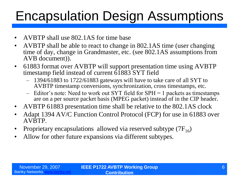### Encapsulation Design Assumptions

- AVBTP shall use 802.1AS for time base
- AVBTP shall be able to react to change in 802.1AS time (user changing time of day, change in Grandmaster, etc. (see 802.1AS assumptions from AVB document)).
- 61883 format over AVBTP will support presentation time using AVBTP timestamp field instead of current  $\overline{61883}$  SYT field
	- 1394/61883 to 1722/61883 gateways will have to take care of all SYT to AVBTP timestamp conversions, synchronization, cross timestamps, etc.
	- Editor's note: Need to work out SYT field for SPH = 1 packets as timestamps are on a per source packet basis (MPEG packet) instead of in the CIP header.
- AVBTP 61883 presentation time shall be relative to the 802.1AS clock
- Adapt 1394 AV/C Function Control Protocol (FCP) for use in 61883 over AVBTP.
- Proprietary encapsulations allowed via reserved subtype  $(7F_{16})$
- Allow for other future expansions via different subtypes.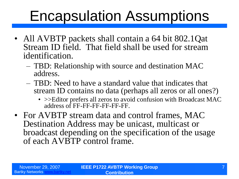### Encapsulation Assumptions

- All AVBTP packets shall contain a 64 bit 802.1Qat Stream ID field. That field shall be used for stream identification.
	- TBD: Relationship with source and destination MAC address.
	- TBD: Need to have a standard value that indicates that stream ID contains no data (perhaps all zeros or all ones?)
		- > > Editor prefers all zeros to avoid confusion with Broadcast MAC address of FF-FF-FF-FF-FF-FF.
- For AVBTP stream data and control frames, MAC Destination Address may be unicast, multicast or broadcast depending on the specification of the usage of each AVBTP control frame.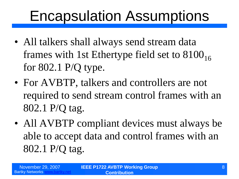### Encapsulation Assumptions

- All talkers shall always send stream data frames with 1st Ethertype field set to  $8100_{16}$ for 802.1 P/Q type.
- For AVBTP, talkers and controllers are not required to send stream control frames with an 802.1 P/Q tag.
- All AVBTP compliant devices must always be able to accept data and control frames with an 802.1 P/Q tag.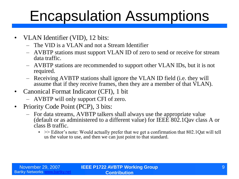### Encapsulation Assumptions

- VLAN Identifier (VID), 12 bits:
	- The VID is a VLAN and not a Stream Identifier
	- AVBTP stations must support VLAN ID of zero to send or receive for stream data traffic.
	- AVBTP stations are recommended to support other VLAN IDs, but it is not required.
	- Receiving AVBTP stations shall ignore the VLAN ID field (i.e. they will assume that if they receive frames, then they are a member of that VLAN).
- Canonical Format Indicator (CFI), 1 bit
	- AVBTP will only support CFI of zero.
- Priority Code Point (PCP), 3 bits:
	- For data streams, AVBTP talkers shall always use the appropriate value (default or as administered to a different value) for IEEE 802.1Qav class A or class B traffic.
		- $\bullet \Rightarrow$  Editor's note: Would actually prefer that we get a confirmation that 802.1Qat will tell us the value to use, and then we can just point to that standard.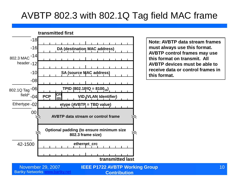### AVBTP 802.3 with 802.1Q Tag field MAC frame



**Note: AVBTP data stream frames must always use this format. AVBTP control frames may use this format on transmit. All AVBTP devices must be able to receive data or control frames in this format.**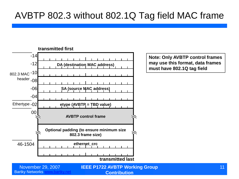#### AVBTP 802.3 without 802.1Q Tag field MAC frame



**Note: Only AVBTP control frames may use this format, data frames must have 802.1Q tag field**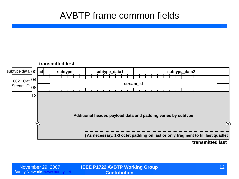#### AVBTP frame common fields

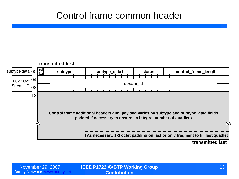#### Control frame common header

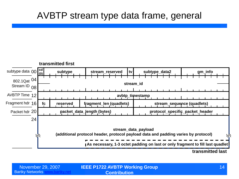#### AVBTP stream type data frame, general

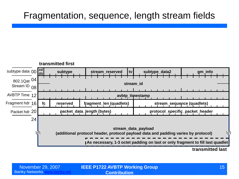#### Fragmentation, sequence, length stream fields

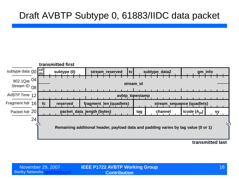### Draft AVBTP Subtype 0, 61883/IIDC data packet



**transmitted last**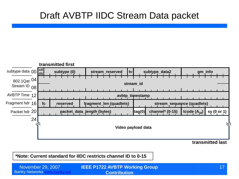#### Draft AVBTP IIDC Stream Data packet



**transmitted last**

**\*Note: Current standard for IIDC restricts channel ID to 0-15**

**Bartky Networks [www.bartky.net](http://www.bartky.net/) IEEE P1722 AVBTP Working Group**  November 29, 2007 17 **Contribution**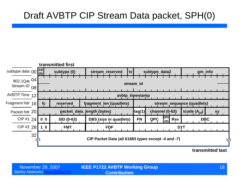### Draft AVBTP CIP Stream Data packet, SPH(0)



**transmitted last**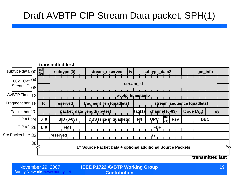### Draft AVBTP CIP Stream Data packet, SPH(1)



**IEEE P1722 AVBTP Working Group**  November 29, 2007 19 **Contribution**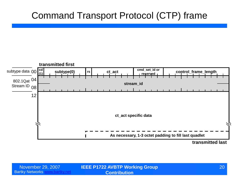#### Command Transport Protocol (CTP) frame



**transmitted last**

Bartky Networks [www.bartky.net](http://www.bartky.net/)

**IEEE P1722 AVBTP Working Group**  November 29, 2007 20 **Contribution**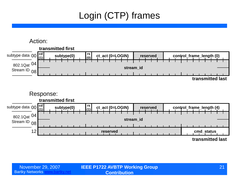### Login (CTP) frames

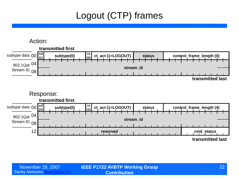### Logout (CTP) frames

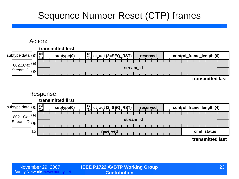#### Sequence Number Reset (CTP) frames

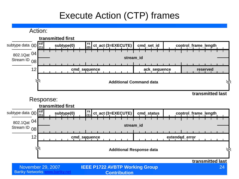### Execute Action (CTP) frames

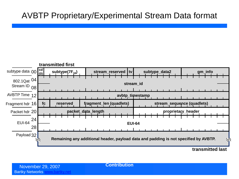#### AVBTP Proprietary/Experimental Stream Data format



**transmitted last**

**Contribution**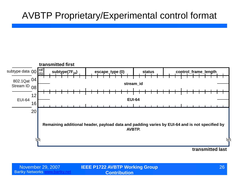#### AVBTP Proprietary/Experimental control format



**IEEE P1722 AVBTP Working Group**  November 29, 2007 26 **Contribution**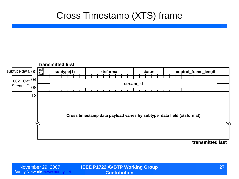#### Cross Timestamp (XTS) frame



**transmitted last**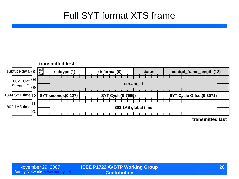### Full SYT format XTS frame

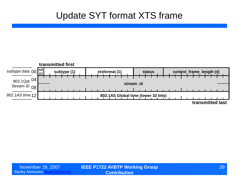#### Update SYT format XTS frame

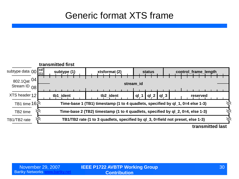#### Generic format XTS frame

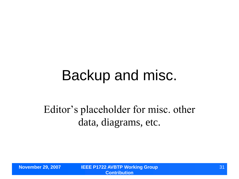### Backup and misc.

### Editor's placeholder for misc. other data, diagrams, etc.

**November 29, 2007 IEEE P1722 AVBTP Working Group Contribution**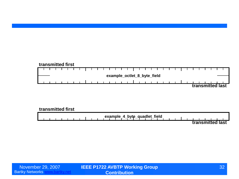#### **transmitted first** ┱ ┱ **example\_octlet\_8\_byte\_field transmitted last**

#### **transmitted first**

**example\_4\_byte\_quadlet\_field transmitted last**